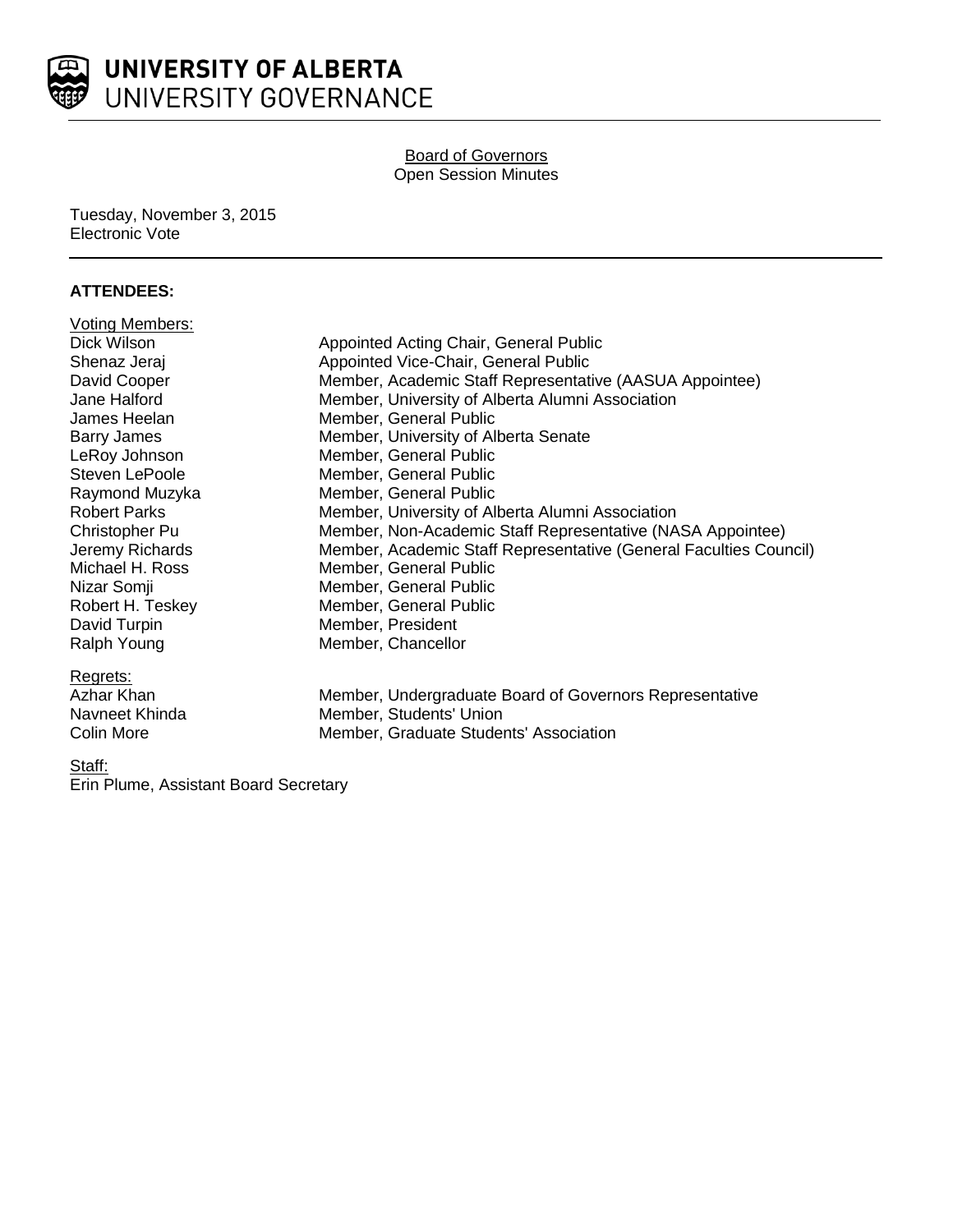

## **Board of Governors** Open Session Minutes

Tuesday, November 3, 2015 Electronic Vote

## **ATTENDEES:**

| <b>Voting Members:</b> |                                                                   |
|------------------------|-------------------------------------------------------------------|
| Dick Wilson            | Appointed Acting Chair, General Public                            |
| Shenaz Jeraj           | Appointed Vice-Chair, General Public                              |
| David Cooper           | Member, Academic Staff Representative (AASUA Appointee)           |
| Jane Halford           | Member, University of Alberta Alumni Association                  |
| James Heelan           | Member, General Public                                            |
| <b>Barry James</b>     | Member, University of Alberta Senate                              |
| LeRoy Johnson          | Member, General Public                                            |
| Steven LePoole         | Member, General Public                                            |
| Raymond Muzyka         | Member, General Public                                            |
| <b>Robert Parks</b>    | Member, University of Alberta Alumni Association                  |
| Christopher Pu         | Member, Non-Academic Staff Representative (NASA Appointee)        |
| Jeremy Richards        | Member, Academic Staff Representative (General Faculties Council) |
| Michael H. Ross        | Member, General Public                                            |
| Nizar Somji            | Member, General Public                                            |
| Robert H. Teskey       | Member, General Public                                            |
| David Turpin           | Member, President                                                 |
| Ralph Young            | Member, Chancellor                                                |
| Regrets:               |                                                                   |
| Azhar Khan             | Member, Undergraduate Board of Governors Representative           |
| Navneet Khinda         | Member, Students' Union                                           |
| <b>Colin More</b>      | Member, Graduate Students' Association                            |
|                        |                                                                   |

Staff:

Erin Plume, Assistant Board Secretary